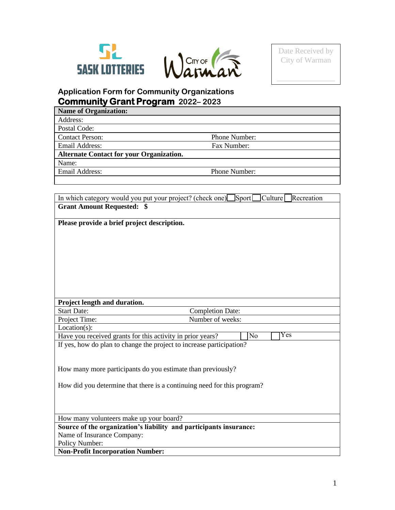



 $\overline{\phantom{a}}$  , where  $\overline{\phantom{a}}$  $\overline{\phantom{a}}$ 

# **Application Form for Community Organizations Community Grant Program 2022– 2023**

| <b>Name of Organization:</b>                    |               |
|-------------------------------------------------|---------------|
| Address:                                        |               |
| Postal Code:                                    |               |
| <b>Contact Person:</b>                          | Phone Number: |
| Email Address:                                  | Fax Number:   |
| <b>Alternate Contact for your Organization.</b> |               |
| Name:                                           |               |
| Email Address:                                  | Phone Number: |
|                                                 |               |

|                                                            | Culture<br>Recreation<br>In which category would you put your project? (check one) Sport |
|------------------------------------------------------------|------------------------------------------------------------------------------------------|
| <b>Grant Amount Requested: \$</b>                          |                                                                                          |
|                                                            |                                                                                          |
| Please provide a brief project description.                |                                                                                          |
|                                                            |                                                                                          |
|                                                            |                                                                                          |
|                                                            |                                                                                          |
|                                                            |                                                                                          |
|                                                            |                                                                                          |
|                                                            |                                                                                          |
|                                                            |                                                                                          |
|                                                            |                                                                                          |
| Project length and duration.                               |                                                                                          |
| <b>Start Date:</b>                                         | <b>Completion Date:</b>                                                                  |
| Project Time:                                              | Number of weeks:                                                                         |
| $Location(s)$ :                                            | Yes                                                                                      |
| Have you received grants for this activity in prior years? | No                                                                                       |
|                                                            | If yes, how do plan to change the project to increase participation?                     |
|                                                            |                                                                                          |
|                                                            | How many more participants do you estimate than previously?                              |
|                                                            |                                                                                          |
|                                                            | How did you determine that there is a continuing need for this program?                  |
|                                                            |                                                                                          |
|                                                            |                                                                                          |
|                                                            |                                                                                          |
| How many volunteers make up your board?                    |                                                                                          |
|                                                            | Source of the organization's liability and participants insurance:                       |
| Name of Insurance Company:                                 |                                                                                          |
| Policy Number:                                             |                                                                                          |
| <b>Non-Profit Incorporation Number:</b>                    |                                                                                          |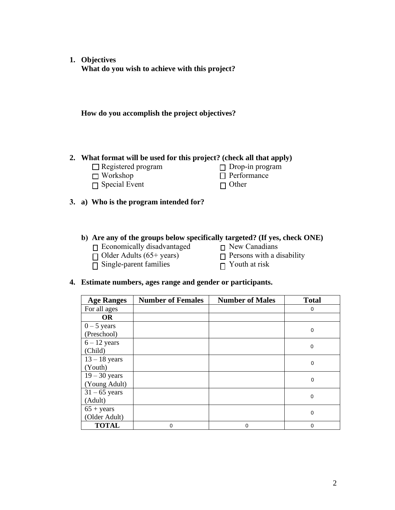**1. Objectives What do you wish to achieve with this project?**

**How do you accomplish the project objectives?**

### **2. What format will be used for this project? (check all that apply)**

- □ Registered program
	- □ Workshop
- $\Box$  Special Event

 $\square$  Drop-in program □ Performance □ Other

**3. a) Who is the program intended for?**

### **b) Are any of the groups below specifically targeted? (If yes, check ONE)**

- □ Economically disadvantaged □ New Canadians
- 
- $\overline{\square}$  Single-parent families
- 
- □ Older Adults (65+ years) □ Persons with a disability<br>
□ Single-parent families □ Youth at risk
	-

### **4. Estimate numbers, ages range and gender or participants.**

| <b>Age Ranges</b> | <b>Number of Females</b> | <b>Number of Males</b> | <b>Total</b> |
|-------------------|--------------------------|------------------------|--------------|
| For all ages      |                          |                        | 0            |
| <b>OR</b>         |                          |                        |              |
| $0 - 5$ years     |                          |                        |              |
| (Preschool)       |                          |                        | 0            |
| $6 - 12$ years    |                          |                        |              |
| (Child)           |                          |                        | 0            |
| $13 - 18$ years   |                          |                        | $\mathbf 0$  |
| (Youth)           |                          |                        |              |
| $19 - 30$ years   |                          |                        |              |
| (Young Adult)     |                          |                        | 0            |
| $31 - 65$ years   |                          |                        |              |
| (Adult)           |                          |                        | 0            |
| $65 + years$      |                          |                        | 0            |
| (Older Adult)     |                          |                        |              |
| <b>TOTAL</b>      | $\Omega$                 | $\mathbf 0$            | 0            |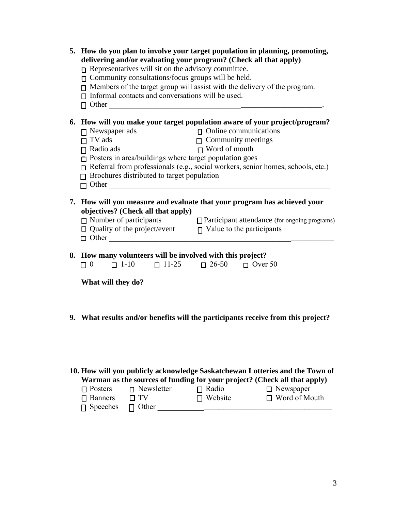| 5. How do you plan to involve your target population in planning, promoting,<br>delivering and/or evaluating your program? (Check all that apply)<br>$\Box$ Representatives will sit on the advisory committee.<br>$\Box$ Community consultations/focus groups will be held.<br>$\Box$ Members of the target group will assist with the delivery of the program.<br>$\Box$ Informal contacts and conversations will be used. |                                                                                                                                                    |                                          |
|------------------------------------------------------------------------------------------------------------------------------------------------------------------------------------------------------------------------------------------------------------------------------------------------------------------------------------------------------------------------------------------------------------------------------|----------------------------------------------------------------------------------------------------------------------------------------------------|------------------------------------------|
| 6. How will you make your target population aware of your project/program?<br>$\Box$ Newspaper ads<br>$\Box$ TV ads<br>$\Box$ Radio ads<br>$\Box$ Posters in area/buildings where target population goes<br>$\Box$ Referral from professionals (e.g., social workers, senior homes, schools, etc.)<br>$\Box$ Brochures distributed to target population                                                                      | $\begin{array}{ll}\n\Box \quad \text{Online communications} \\ \Box \quad \text{Commuty meetings} \\ \Box \quad \text{Word of mouth}\n\end{array}$ |                                          |
| 7. How will you measure and evaluate that your program has achieved your<br>objectives? (Check all that apply)<br>$\Box$ Number of participants $\Box$ Participant attendance (for ongoing programs)<br>$\Box$ Quality of the project/event $\Box$ Value to the participants<br>$\Box$ Other                                                                                                                                 |                                                                                                                                                    |                                          |
| 8. How many volunteers will be involved with this project?<br>$\Box$ 0 $\Box$ 1-10 $\Box$ 11-25 $\Box$ 26-50 $\Box$ Over 50                                                                                                                                                                                                                                                                                                  |                                                                                                                                                    |                                          |
| What will they do?                                                                                                                                                                                                                                                                                                                                                                                                           |                                                                                                                                                    |                                          |
| 9. What results and/or benefits will the participants receive from this project?                                                                                                                                                                                                                                                                                                                                             |                                                                                                                                                    |                                          |
| 10. How will you publicly acknowledge Saskatchewan Lotteries and the Town of<br>Warman as the sources of funding for your project? (Check all that apply)<br>$\sqcap$ Newsletter<br>$\Box$ Posters<br><b>Banners</b><br>TV<br>Speeches<br>Other                                                                                                                                                                              | $\Box$ Radio<br>Website                                                                                                                            | $\Box$ Newspaper<br>$\Box$ Word of Mouth |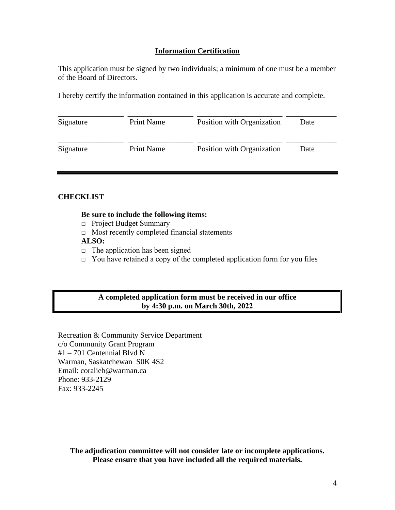### **Information Certification**

This application must be signed by two individuals; a minimum of one must be a member of the Board of Directors.

I hereby certify the information contained in this application is accurate and complete.

| Signature | <b>Print Name</b> | Position with Organization | Date |
|-----------|-------------------|----------------------------|------|
| Signature | <b>Print Name</b> | Position with Organization | Date |

### **CHECKLIST**

#### **Be sure to include the following items:**

- □ Project Budget Summary
- $\Box$  Most recently completed financial statements

### **ALSO:**

- $\Box$  The application has been signed
- $\Box$  You have retained a copy of the completed application form for you files

### **A completed application form must be received in our office by 4:30 p.m. on March 30th, 2022**

Recreation & Community Service Department c/o Community Grant Program #1 – 701 Centennial Blvd N Warman, Saskatchewan S0K 4S2 Email: coralieb@warman.ca Phone: 933-2129 Fax: 933-2245

**The adjudication committee will not consider late or incomplete applications. Please ensure that you have included all the required materials.**